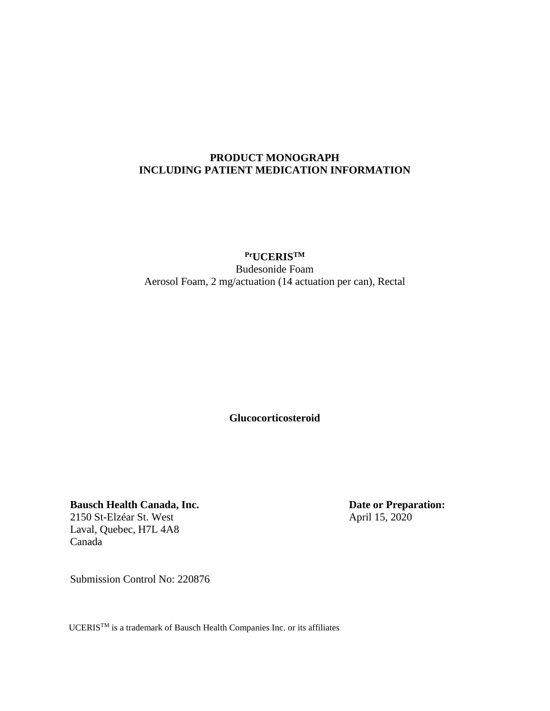#### <span id="page-0-0"></span>**PRODUCT MONOGRAPH INCLUDING PATIENT MEDICATION INFORMATION**

## **PrUCERISTM** Budesonide Foam Aerosol Foam, 2 mg/actuation (14 actuation per can), Rectal

**Glucocorticosteroid**

**Bausch Health Canada, Inc.** 2150 St-Elzéar St. West Laval, Quebec, H7L 4A8 Canada

**Date or Preparation:** April 15, 2020

Submission Control No: 220876

UCERISTM is a trademark of Bausch Health Companies Inc. or its affiliates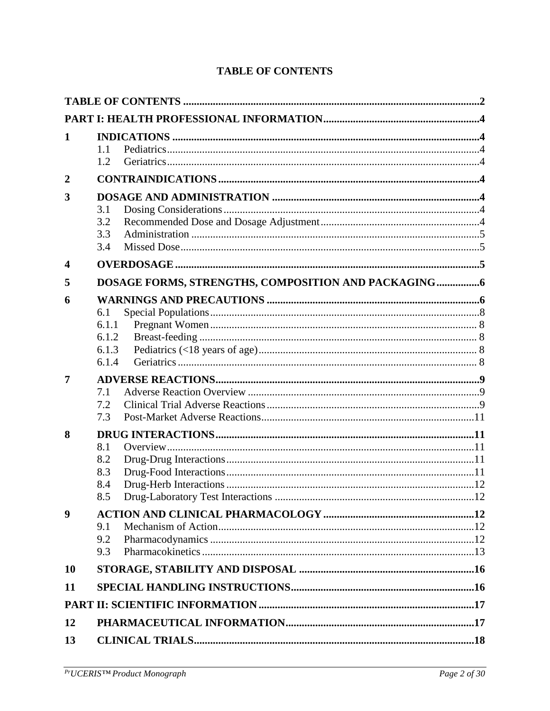| 1                       |              |  |
|-------------------------|--------------|--|
|                         | 1.1          |  |
|                         | 1.2          |  |
| $\overline{2}$          |              |  |
| 3                       |              |  |
|                         | 3.1          |  |
|                         | 3.2<br>3.3   |  |
|                         | 3.4          |  |
| $\overline{\mathbf{4}}$ |              |  |
|                         |              |  |
| 5                       |              |  |
| 6                       |              |  |
|                         | 6.1<br>6.1.1 |  |
|                         | 6.1.2        |  |
|                         | 6.1.3        |  |
|                         | 6.1.4        |  |
| 7                       |              |  |
|                         | 7.1          |  |
|                         | 7.2          |  |
|                         | 7.3          |  |
| 8                       |              |  |
|                         | 8.1<br>8.2   |  |
|                         | 8.3          |  |
|                         | 8.4          |  |
|                         | 8.5          |  |
| 9                       |              |  |
|                         | 9.1          |  |
|                         | 9.2          |  |
|                         | 9.3          |  |
| <b>10</b>               |              |  |
| 11                      |              |  |
|                         |              |  |
| 12                      |              |  |
| 13                      |              |  |

# **TABLE OF CONTENTS**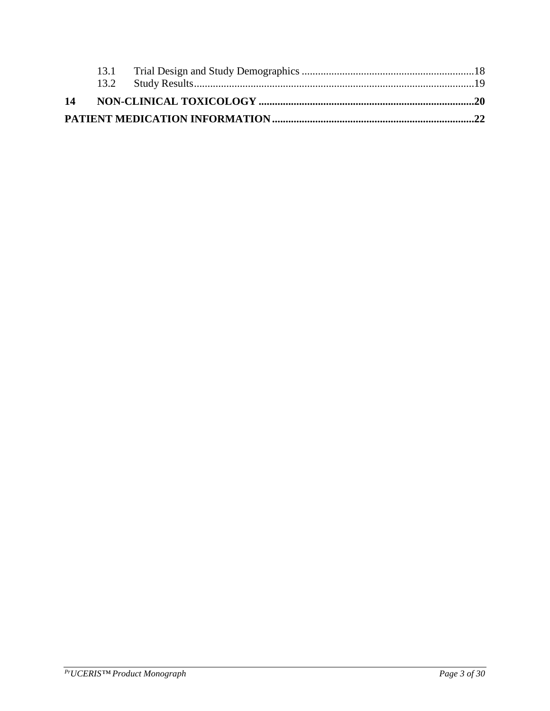<span id="page-2-0"></span>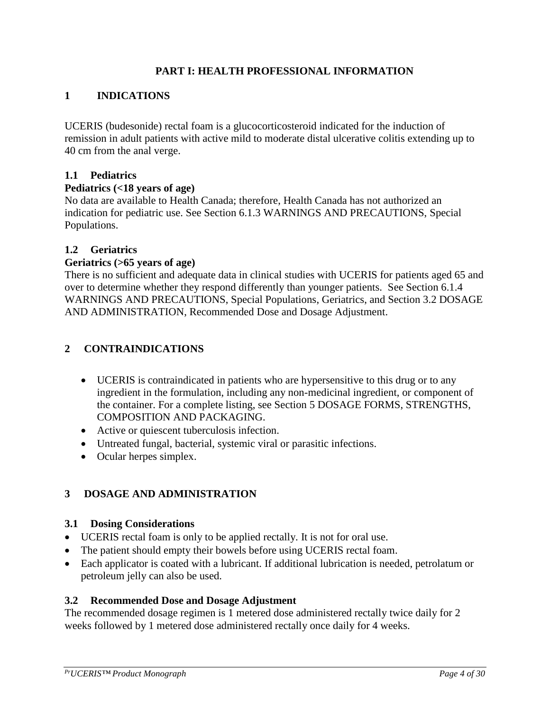## **PART I: HEALTH PROFESSIONAL INFORMATION**

## <span id="page-3-0"></span>**1 INDICATIONS**

UCERIS (budesonide) rectal foam is a glucocorticosteroid indicated for the induction of remission in adult patients with active mild to moderate distal ulcerative colitis extending up to 40 cm from the anal verge.

#### <span id="page-3-1"></span>**1.1 Pediatrics**

#### **Pediatrics (<18 years of age)**

No data are available to Health Canada; therefore, Health Canada has not authorized an indication for pediatric use. See Section 6.1.3 WARNINGS AND PRECAUTIONS, Special Populations.

#### <span id="page-3-2"></span>**1.2 Geriatrics**

#### **Geriatrics (>65 years of age)**

There is no sufficient and adequate data in clinical studies with UCERIS for patients aged 65 and over to determine whether they respond differently than younger patients. See Section 6.1.4 WARNINGS AND PRECAUTIONS, Special Populations, Geriatrics, and Section 3.2 DOSAGE AND ADMINISTRATION, Recommended Dose and Dosage Adjustment.

#### <span id="page-3-3"></span>**2 CONTRAINDICATIONS**

- UCERIS is contraindicated in patients who are hypersensitive to this drug or to any ingredient in the formulation, including any non-medicinal ingredient, or component of the container. For a complete listing, see Section 5 DOSAGE FORMS, STRENGTHS, COMPOSITION AND PACKAGING.
- Active or quiescent tuberculosis infection.
- Untreated fungal, bacterial, systemic viral or parasitic infections.
- Ocular herpes simplex.

## <span id="page-3-4"></span>**3 DOSAGE AND ADMINISTRATION**

#### <span id="page-3-5"></span>**3.1 Dosing Considerations**

- UCERIS rectal foam is only to be applied rectally. It is not for oral use.
- The patient should empty their bowels before using UCERIS rectal foam.
- Each applicator is coated with a lubricant. If additional lubrication is needed, petrolatum or petroleum jelly can also be used.

#### <span id="page-3-6"></span>**3.2 Recommended Dose and Dosage Adjustment**

The recommended dosage regimen is 1 metered dose administered rectally twice daily for 2 weeks followed by 1 metered dose administered rectally once daily for 4 weeks.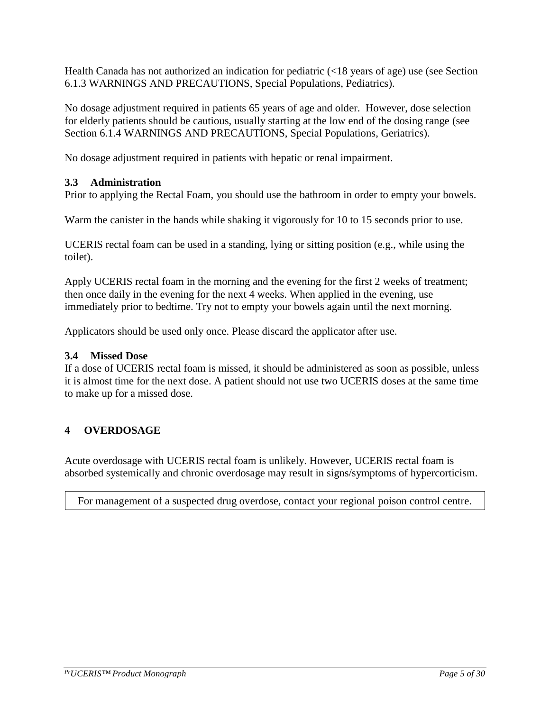Health Canada has not authorized an indication for pediatric (<18 years of age) use (see Section 6.1.3 WARNINGS AND PRECAUTIONS, Special Populations, Pediatrics).

No dosage adjustment required in patients 65 years of age and older. However, dose selection for elderly patients should be cautious, usually starting at the low end of the dosing range (see Section 6.1.4 WARNINGS AND PRECAUTIONS, Special Populations, Geriatrics).

No dosage adjustment required in patients with hepatic or renal impairment.

## <span id="page-4-0"></span>**3.3 Administration**

Prior to applying the Rectal Foam, you should use the bathroom in order to empty your bowels.

Warm the canister in the hands while shaking it vigorously for 10 to 15 seconds prior to use.

UCERIS rectal foam can be used in a standing, lying or sitting position (e.g., while using the toilet).

Apply UCERIS rectal foam in the morning and the evening for the first 2 weeks of treatment; then once daily in the evening for the next 4 weeks. When applied in the evening, use immediately prior to bedtime. Try not to empty your bowels again until the next morning.

Applicators should be used only once. Please discard the applicator after use.

#### <span id="page-4-1"></span>**3.4 Missed Dose**

If a dose of UCERIS rectal foam is missed, it should be administered as soon as possible, unless it is almost time for the next dose. A patient should not use two UCERIS doses at the same time to make up for a missed dose.

#### <span id="page-4-2"></span>**4 OVERDOSAGE**

Acute overdosage with UCERIS rectal foam is unlikely. However, UCERIS rectal foam is absorbed systemically and chronic overdosage may result in signs/symptoms of hypercorticism.

For management of a suspected drug overdose, contact your regional poison control centre.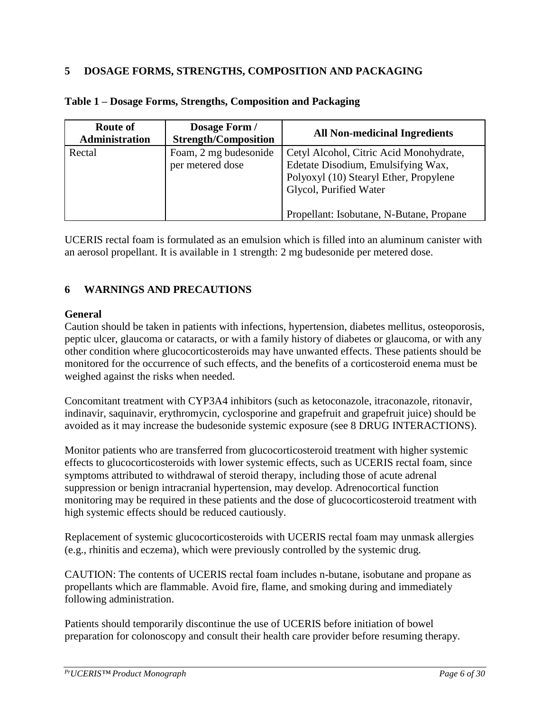## <span id="page-5-0"></span>**5 DOSAGE FORMS, STRENGTHS, COMPOSITION AND PACKAGING**

| <b>Route of</b><br><b>Administration</b> | Dosage Form /<br><b>Strength/Composition</b> | <b>All Non-medicinal Ingredients</b>                                                                                                                                                          |
|------------------------------------------|----------------------------------------------|-----------------------------------------------------------------------------------------------------------------------------------------------------------------------------------------------|
| Rectal                                   | Foam, 2 mg budesonide<br>per metered dose    | Cetyl Alcohol, Citric Acid Monohydrate,<br>Edetate Disodium, Emulsifying Wax,<br>Polyoxyl (10) Stearyl Ether, Propylene<br>Glycol, Purified Water<br>Propellant: Isobutane, N-Butane, Propane |

#### **Table 1 – Dosage Forms, Strengths, Composition and Packaging**

UCERIS rectal foam is formulated as an emulsion which is filled into an aluminum canister with an aerosol propellant. It is available in 1 strength: 2 mg budesonide per metered dose.

## <span id="page-5-1"></span>**6 WARNINGS AND PRECAUTIONS**

#### **General**

Caution should be taken in patients with infections, hypertension, diabetes mellitus, osteoporosis, peptic ulcer, glaucoma or cataracts, or with a family history of diabetes or glaucoma, or with any other condition where glucocorticosteroids may have unwanted effects. These patients should be monitored for the occurrence of such effects, and the benefits of a corticosteroid enema must be weighed against the risks when needed.

Concomitant treatment with CYP3A4 inhibitors (such as ketoconazole, itraconazole, ritonavir, indinavir, saquinavir, erythromycin, cyclosporine and grapefruit and grapefruit juice) should be avoided as it may increase the budesonide systemic exposure (see 8 DRUG INTERACTIONS).

Monitor patients who are transferred from glucocorticosteroid treatment with higher systemic effects to glucocorticosteroids with lower systemic effects, such as UCERIS rectal foam, since symptoms attributed to withdrawal of steroid therapy, including those of acute adrenal suppression or benign intracranial hypertension, may develop. Adrenocortical function monitoring may be required in these patients and the dose of glucocorticosteroid treatment with high systemic effects should be reduced cautiously.

Replacement of systemic glucocorticosteroids with UCERIS rectal foam may unmask allergies (e.g., rhinitis and eczema), which were previously controlled by the systemic drug.

CAUTION: The contents of UCERIS rectal foam includes n-butane, isobutane and propane as propellants which are flammable. Avoid fire, flame, and smoking during and immediately following administration.

Patients should temporarily discontinue the use of UCERIS before initiation of bowel preparation for colonoscopy and consult their health care provider before resuming therapy.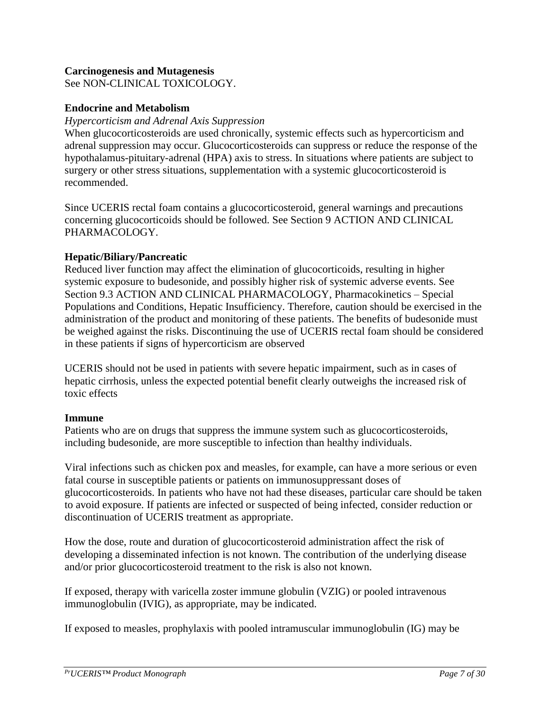#### **Carcinogenesis and Mutagenesis**

See NON-CLINICAL TOXICOLOGY.

#### **Endocrine and Metabolism**

#### *Hypercorticism and Adrenal Axis Suppression*

When glucocorticosteroids are used chronically, systemic effects such as hypercorticism and adrenal suppression may occur. Glucocorticosteroids can suppress or reduce the response of the hypothalamus-pituitary-adrenal (HPA) axis to stress. In situations where patients are subject to surgery or other stress situations, supplementation with a systemic glucocorticosteroid is recommended.

Since UCERIS rectal foam contains a glucocorticosteroid, general warnings and precautions concerning glucocorticoids should be followed. See Section 9 ACTION AND CLINICAL PHARMACOLOGY.

#### **Hepatic/Biliary/Pancreatic**

Reduced liver function may affect the elimination of glucocorticoids, resulting in higher systemic exposure to budesonide, and possibly higher risk of systemic adverse events. See Section 9.3 ACTION AND CLINICAL PHARMACOLOGY, Pharmacokinetics – Special Populations and Conditions, Hepatic Insufficiency. Therefore, caution should be exercised in the administration of the product and monitoring of these patients. The benefits of budesonide must be weighed against the risks. Discontinuing the use of UCERIS rectal foam should be considered in these patients if signs of hypercorticism are observed

UCERIS should not be used in patients with severe hepatic impairment, such as in cases of hepatic cirrhosis, unless the expected potential benefit clearly outweighs the increased risk of toxic effects

#### **Immune**

Patients who are on drugs that suppress the immune system such as glucocorticosteroids, including budesonide, are more susceptible to infection than healthy individuals.

Viral infections such as chicken pox and measles, for example, can have a more serious or even fatal course in susceptible patients or patients on immunosuppressant doses of glucocorticosteroids. In patients who have not had these diseases, particular care should be taken to avoid exposure. If patients are infected or suspected of being infected, consider reduction or discontinuation of UCERIS treatment as appropriate.

How the dose, route and duration of glucocorticosteroid administration affect the risk of developing a disseminated infection is not known. The contribution of the underlying disease and/or prior glucocorticosteroid treatment to the risk is also not known.

If exposed, therapy with varicella zoster immune globulin (VZIG) or pooled intravenous immunoglobulin (IVIG), as appropriate, may be indicated.

If exposed to measles, prophylaxis with pooled intramuscular immunoglobulin (IG) may be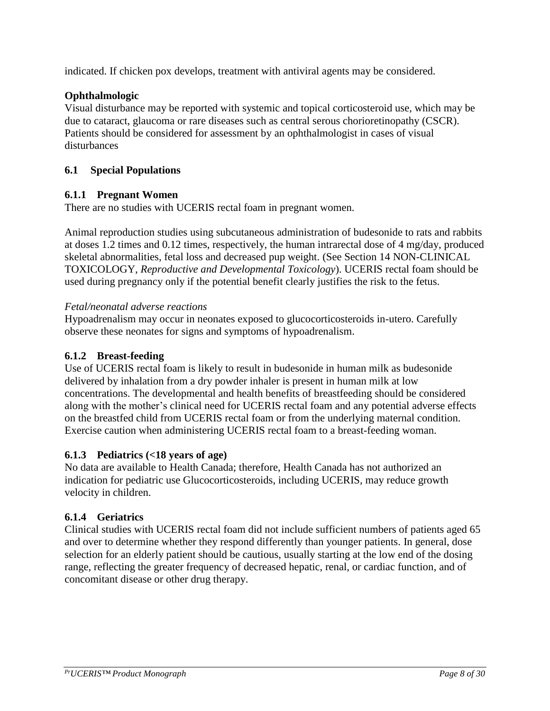indicated. If chicken pox develops, treatment with antiviral agents may be considered.

## **Ophthalmologic**

Visual disturbance may be reported with systemic and topical corticosteroid use, which may be due to cataract, glaucoma or rare diseases such as central serous chorioretinopathy (CSCR). Patients should be considered for assessment by an ophthalmologist in cases of visual disturbances

## <span id="page-7-0"></span>**6.1 Special Populations**

#### <span id="page-7-1"></span>**6.1.1 Pregnant Women**

There are no studies with UCERIS rectal foam in pregnant women.

Animal reproduction studies using subcutaneous administration of budesonide to rats and rabbits at doses 1.2 times and 0.12 times, respectively, the human intrarectal dose of 4 mg/day, produced skeletal abnormalities, fetal loss and decreased pup weight. (See Section 14 NON-CLINICAL TOXICOLOGY, *Reproductive and Developmental Toxicology*). UCERIS rectal foam should be used during pregnancy only if the potential benefit clearly justifies the risk to the fetus.

#### *Fetal/neonatal adverse reactions*

Hypoadrenalism may occur in neonates exposed to glucocorticosteroids in-utero. Carefully observe these neonates for signs and symptoms of hypoadrenalism.

#### <span id="page-7-2"></span>**6.1.2 Breast-feeding**

Use of UCERIS rectal foam is likely to result in budesonide in human milk as budesonide delivered by inhalation from a dry powder inhaler is present in human milk at low concentrations. The developmental and health benefits of breastfeeding should be considered along with the mother's clinical need for UCERIS rectal foam and any potential adverse effects on the breastfed child from UCERIS rectal foam or from the underlying maternal condition. Exercise caution when administering UCERIS rectal foam to a breast-feeding woman.

#### <span id="page-7-3"></span>**6.1.3 Pediatrics (<18 years of age)**

No data are available to Health Canada; therefore, Health Canada has not authorized an indication for pediatric use Glucocorticosteroids, including UCERIS, may reduce growth velocity in children.

## <span id="page-7-4"></span>**6.1.4 Geriatrics**

Clinical studies with UCERIS rectal foam did not include sufficient numbers of patients aged 65 and over to determine whether they respond differently than younger patients. In general, dose selection for an elderly patient should be cautious, usually starting at the low end of the dosing range, reflecting the greater frequency of decreased hepatic, renal, or cardiac function, and of concomitant disease or other drug therapy.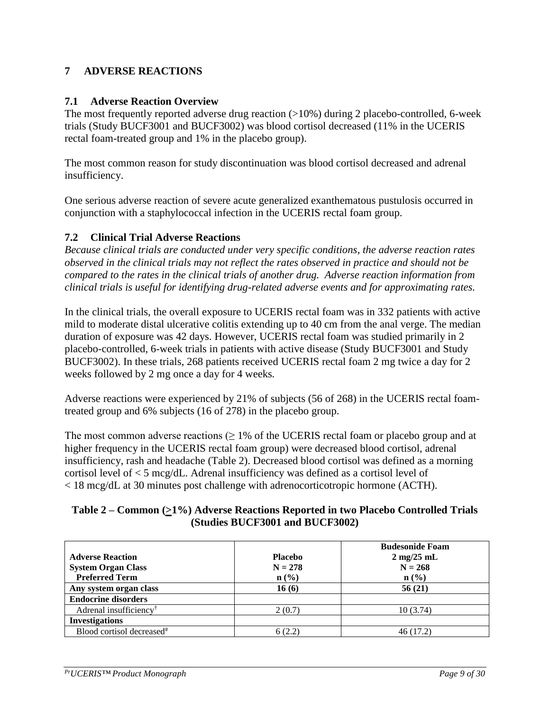## <span id="page-8-0"></span>**7 ADVERSE REACTIONS**

#### <span id="page-8-1"></span>**7.1 Adverse Reaction Overview**

The most frequently reported adverse drug reaction (>10%) during 2 placebo-controlled, 6-week trials (Study BUCF3001 and BUCF3002) was blood cortisol decreased (11% in the UCERIS rectal foam-treated group and 1% in the placebo group).

The most common reason for study discontinuation was blood cortisol decreased and adrenal insufficiency.

One serious adverse reaction of severe acute generalized exanthematous pustulosis occurred in conjunction with a staphylococcal infection in the UCERIS rectal foam group.

#### <span id="page-8-2"></span>**7.2 Clinical Trial Adverse Reactions**

*Because clinical trials are conducted under very specific conditions, the adverse reaction rates observed in the clinical trials may not reflect the rates observed in practice and should not be compared to the rates in the clinical trials of another drug. Adverse reaction information from clinical trials is useful for identifying drug-related adverse events and for approximating rates.*

In the clinical trials, the overall exposure to UCERIS rectal foam was in 332 patients with active mild to moderate distal ulcerative colitis extending up to 40 cm from the anal verge. The median duration of exposure was 42 days. However, UCERIS rectal foam was studied primarily in 2 placebo-controlled, 6-week trials in patients with active disease (Study BUCF3001 and Study BUCF3002). In these trials, 268 patients received UCERIS rectal foam 2 mg twice a day for 2 weeks followed by 2 mg once a day for 4 weeks*.*

Adverse reactions were experienced by 21% of subjects (56 of 268) in the UCERIS rectal foamtreated group and 6% subjects (16 of 278) in the placebo group.

The most common adverse reactions  $(≥ 1\%$  of the UCERIS rectal foam or placebo group and at higher frequency in the UCERIS rectal foam group) were decreased blood cortisol, adrenal insufficiency, rash and headache (Table 2). Decreased blood cortisol was defined as a morning cortisol level of < 5 mcg/dL. Adrenal insufficiency was defined as a cortisol level of < 18 mcg/dL at 30 minutes post challenge with adrenocorticotropic hormone (ACTH).

#### **Table 2 – Common (>1%) Adverse Reactions Reported in two Placebo Controlled Trials (Studies BUCF3001 and BUCF3002)**

|                                       |                             | <b>Budesonide Foam</b>       |
|---------------------------------------|-----------------------------|------------------------------|
| <b>Adverse Reaction</b>               | <b>Placebo</b>              | $2 \text{ mg}/25 \text{ mL}$ |
| <b>System Organ Class</b>             | $N = 278$                   | $N = 268$                    |
| <b>Preferred Term</b>                 | $n\left(\frac{0}{0}\right)$ | $\mathbf{n}(\%)$             |
| Any system organ class                | 16(6)                       | 56(21)                       |
| <b>Endocrine disorders</b>            |                             |                              |
| Adrenal insufficiency <sup>†</sup>    | 2(0.7)                      | 10(3.74)                     |
| <b>Investigations</b>                 |                             |                              |
| Blood cortisol decreased <sup>#</sup> |                             | 46 (17.2)                    |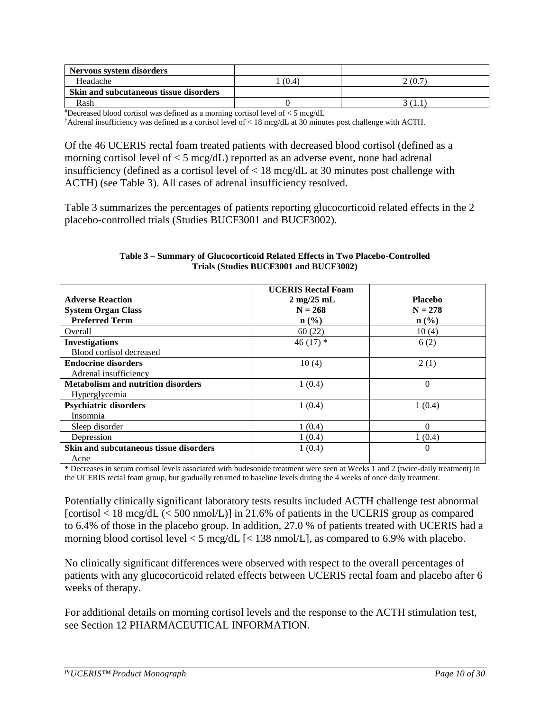<span id="page-9-0"></span>

| Nervous system disorders               |       |         |
|----------------------------------------|-------|---------|
| Headache                               | (0.4) | 2 (0.7  |
| Skin and subcutaneous tissue disorders |       |         |
| Rash                                   |       | , , , , |

#Decreased blood cortisol was defined as a morning cortisol level of < 5 mcg/dL

†Adrenal insufficiency was defined as a cortisol level of < 18 mcg/dL at 30 minutes post challenge with ACTH.

Of the 46 UCERIS rectal foam treated patients with decreased blood cortisol (defined as a morning cortisol level of < 5 mcg/dL) reported as an adverse event, none had adrenal insufficiency (defined as a cortisol level of < 18 mcg/dL at 30 minutes post challenge with ACTH) (see Table 3). All cases of adrenal insufficiency resolved.

Table 3 summarizes the percentages of patients reporting glucocorticoid related effects in the 2 placebo-controlled trials (Studies BUCF3001 and BUCF3002).

|                                           | <b>UCERIS Rectal Foam</b>    |                  |
|-------------------------------------------|------------------------------|------------------|
| <b>Adverse Reaction</b>                   | $2 \text{ mg}/25 \text{ mL}$ | <b>Placebo</b>   |
| <b>System Organ Class</b>                 | $N = 268$                    | $N = 278$        |
| <b>Preferred Term</b>                     | $n\left(\frac{0}{0}\right)$  | $\mathbf{n}(\%)$ |
| Overall                                   | 60(22)                       | 10(4)            |
| <b>Investigations</b>                     | 46 $(17)*$                   | 6(2)             |
| Blood cortisol decreased                  |                              |                  |
| <b>Endocrine disorders</b>                | 10(4)                        | 2(1)             |
| Adrenal insufficiency                     |                              |                  |
| <b>Metabolism and nutrition disorders</b> | 1(0.4)                       | $\theta$         |
| Hyperglycemia                             |                              |                  |
| <b>Psychiatric disorders</b>              | 1(0.4)                       | 1(0.4)           |
| Insomnia                                  |                              |                  |
| Sleep disorder                            | 1(0.4)                       | $\Omega$         |
| Depression                                | 1(0.4)                       | 1(0.4)           |
| Skin and subcutaneous tissue disorders    | 1(0.4)                       | $\theta$         |
| Acne                                      |                              |                  |

**Table 3 – Summary of Glucocorticoid Related Effects in Two Placebo-Controlled Trials (Studies BUCF3001 and BUCF3002)**

\* Decreases in serum cortisol levels associated with budesonide treatment were seen at Weeks 1 and 2 (twice-daily treatment) in the UCERIS rectal foam group, but gradually returned to baseline levels during the 4 weeks of once daily treatment.

Potentially clinically significant laboratory tests results included ACTH challenge test abnormal [cortisol < 18 mcg/dL (< 500 nmol/L)] in 21.6% of patients in the UCERIS group as compared to 6.4% of those in the placebo group. In addition, 27.0 % of patients treated with UCERIS had a morning blood cortisol level  $\lt 5$  mcg/dL  $\lt 138$  nmol/L], as compared to 6.9% with placebo.

No clinically significant differences were observed with respect to the overall percentages of patients with any glucocorticoid related effects between UCERIS rectal foam and placebo after 6 weeks of therapy.

For additional details on morning cortisol levels and the response to the ACTH stimulation test, see Section 12 PHARMACEUTICAL INFORMATION.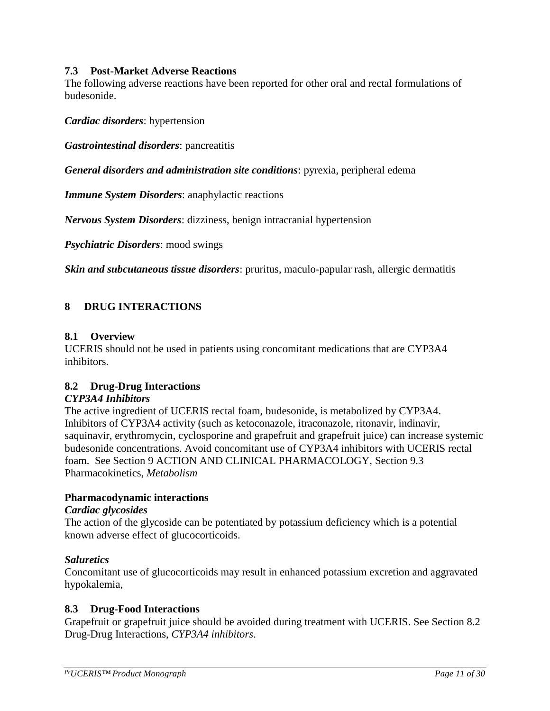#### <span id="page-10-4"></span>**7.3 Post-Market Adverse Reactions**

The following adverse reactions have been reported for other oral and rectal formulations of budesonide.

*Cardiac disorders*: hypertension

*Gastrointestinal disorders*: pancreatitis

*General disorders and administration site conditions*: pyrexia, peripheral edema

*Immune System Disorders*: anaphylactic reactions

*Nervous System Disorders*: dizziness, benign intracranial hypertension

*Psychiatric Disorders*: mood swings

*Skin and subcutaneous tissue disorders*: pruritus, maculo-papular rash, allergic dermatitis

## <span id="page-10-0"></span>**8 DRUG INTERACTIONS**

#### <span id="page-10-1"></span>**8.1 Overview**

UCERIS should not be used in patients using concomitant medications that are CYP3A4 inhibitors.

## <span id="page-10-2"></span>**8.2 Drug-Drug Interactions**

#### *CYP3A4 Inhibitors*

The active ingredient of UCERIS rectal foam, budesonide, is metabolized by CYP3A4. Inhibitors of CYP3A4 activity (such as ketoconazole, itraconazole, ritonavir, indinavir, saquinavir, erythromycin, cyclosporine and grapefruit and grapefruit juice) can increase systemic budesonide concentrations. Avoid concomitant use of CYP3A4 inhibitors with UCERIS rectal foam. See Section 9 ACTION AND CLINICAL PHARMACOLOGY, Section 9.3 Pharmacokinetics, *Metabolism*

#### **Pharmacodynamic interactions**

#### *Cardiac glycosides*

The action of the glycoside can be potentiated by potassium deficiency which is a potential known adverse effect of glucocorticoids.

#### *Saluretics*

Concomitant use of glucocorticoids may result in enhanced potassium excretion and aggravated hypokalemia,

## <span id="page-10-3"></span>**8.3 Drug-Food Interactions**

Grapefruit or grapefruit juice should be avoided during treatment with UCERIS. See Section 8.2 Drug-Drug Interactions, *CYP3A4 inhibitors*.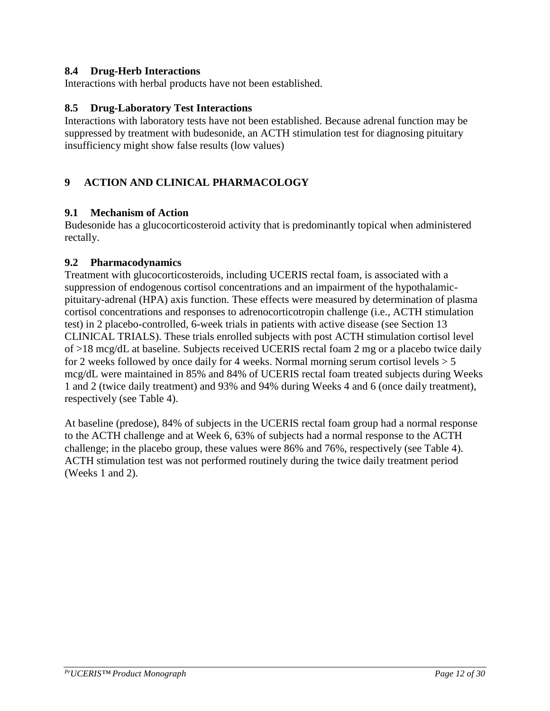#### **8.4 Drug-Herb Interactions**

Interactions with herbal products have not been established.

#### <span id="page-11-0"></span>**8.5 Drug-Laboratory Test Interactions**

Interactions with laboratory tests have not been established. Because adrenal function may be suppressed by treatment with budesonide, an ACTH stimulation test for diagnosing pituitary insufficiency might show false results (low values)

## <span id="page-11-1"></span>**9 ACTION AND CLINICAL PHARMACOLOGY**

#### <span id="page-11-2"></span>**9.1 Mechanism of Action**

Budesonide has a glucocorticosteroid activity that is predominantly topical when administered rectally.

#### <span id="page-11-3"></span>**9.2 Pharmacodynamics**

Treatment with glucocorticosteroids, including UCERIS rectal foam, is associated with a suppression of endogenous cortisol concentrations and an impairment of the hypothalamicpituitary-adrenal (HPA) axis function. These effects were measured by determination of plasma cortisol concentrations and responses to adrenocorticotropin challenge (i.e., ACTH stimulation test) in 2 placebo-controlled, 6-week trials in patients with active disease (see Section 13 CLINICAL TRIALS). These trials enrolled subjects with post ACTH stimulation cortisol level of >18 mcg/dL at baseline. Subjects received UCERIS rectal foam 2 mg or a placebo twice daily for 2 weeks followed by once daily for 4 weeks. Normal morning serum cortisol levels  $> 5$ mcg/dL were maintained in 85% and 84% of UCERIS rectal foam treated subjects during Weeks 1 and 2 (twice daily treatment) and 93% and 94% during Weeks 4 and 6 (once daily treatment), respectively (see Table 4).

At baseline (predose), 84% of subjects in the UCERIS rectal foam group had a normal response to the ACTH challenge and at Week 6, 63% of subjects had a normal response to the ACTH challenge; in the placebo group, these values were 86% and 76%, respectively (see Table 4). ACTH stimulation test was not performed routinely during the twice daily treatment period (Weeks 1 and 2).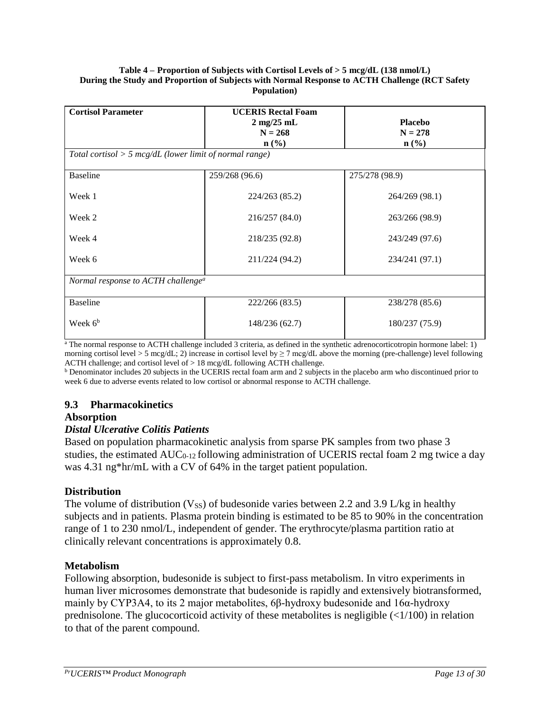#### **Table 4 – Proportion of Subjects with Cortisol Levels of > 5 mcg/dL (138 nmol/L) During the Study and Proportion of Subjects with Normal Response to ACTH Challenge (RCT Safety Population)**

| <b>Cortisol Parameter</b><br>Total cortisol $> 5$ mcg/dL (lower limit of normal range) | <b>UCERIS Rectal Foam</b><br>$2 \text{ mg}/25 \text{ mL}$<br>$N = 268$<br>$n\left(\frac{0}{0}\right)$ | <b>Placebo</b><br>$N = 278$<br>$\mathbf{n}(\%)$ |  |  |  |
|----------------------------------------------------------------------------------------|-------------------------------------------------------------------------------------------------------|-------------------------------------------------|--|--|--|
| <b>Baseline</b>                                                                        | 259/268 (96.6)                                                                                        | 275/278 (98.9)                                  |  |  |  |
| Week 1                                                                                 | 224/263 (85.2)                                                                                        | 264/269 (98.1)                                  |  |  |  |
| Week 2                                                                                 | 216/257 (84.0)                                                                                        | 263/266 (98.9)                                  |  |  |  |
| Week 4                                                                                 | 218/235 (92.8)                                                                                        | 243/249 (97.6)                                  |  |  |  |
| Week 6                                                                                 | 211/224 (94.2)                                                                                        | 234/241 (97.1)                                  |  |  |  |
| Normal response to ACTH challenge <sup>a</sup>                                         |                                                                                                       |                                                 |  |  |  |
| <b>Baseline</b>                                                                        | 222/266 (83.5)                                                                                        | 238/278 (85.6)                                  |  |  |  |
| Week $6b$                                                                              | 148/236 (62.7)                                                                                        | 180/237 (75.9)                                  |  |  |  |

 $\frac{a}{b}$ . The normal response to ACTH challenge included 3 criteria, as defined in the synthetic adrenocorticotropin hormone label: 1) morning cortisol level > 5 mcg/dL; 2) increase in cortisol level by  $\geq 7$  mcg/dL above the morning (pre-challenge) level following ACTH challenge; and cortisol level of > 18 mcg/dL following ACTH challenge.

<sup>b</sup> Denominator includes 20 subjects in the UCERIS rectal foam arm and 2 subjects in the placebo arm who discontinued prior to week 6 due to adverse events related to low cortisol or abnormal response to ACTH challenge.

## <span id="page-12-0"></span>**9.3 Pharmacokinetics**

#### **Absorption**

## *Distal Ulcerative Colitis Patients*

Based on population pharmacokinetic analysis from sparse PK samples from two phase 3 studies, the estimated  $AUC_{0-12}$  following administration of UCERIS rectal foam 2 mg twice a day was 4.31 ng\*hr/mL with a CV of 64% in the target patient population.

## **Distribution**

The volume of distribution (V<sub>SS</sub>) of budesonide varies between 2.2 and 3.9 L/kg in healthy subjects and in patients. Plasma protein binding is estimated to be 85 to 90% in the concentration range of 1 to 230 nmol/L, independent of gender. The erythrocyte/plasma partition ratio at clinically relevant concentrations is approximately 0.8.

#### **Metabolism**

Following absorption, budesonide is subject to first-pass metabolism. In vitro experiments in human liver microsomes demonstrate that budesonide is rapidly and extensively biotransformed, mainly by CYP3A4, to its 2 major metabolites, 6β-hydroxy budesonide and 16α-hydroxy prednisolone. The glucocorticoid activity of these metabolites is negligible  $\left( \langle 1/100 \rangle \right)$  in relation to that of the parent compound.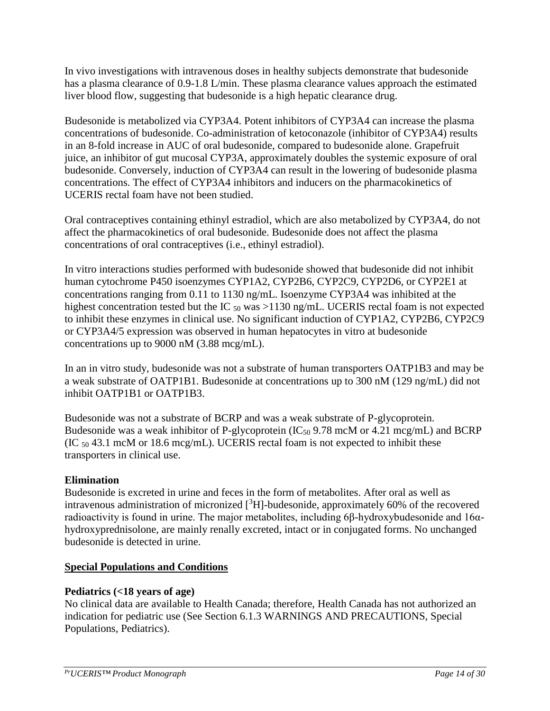In vivo investigations with intravenous doses in healthy subjects demonstrate that budesonide has a plasma clearance of 0.9-1.8 L/min. These plasma clearance values approach the estimated liver blood flow, suggesting that budesonide is a high hepatic clearance drug.

Budesonide is metabolized via CYP3A4. Potent inhibitors of CYP3A4 can increase the plasma concentrations of budesonide. Co-administration of ketoconazole (inhibitor of CYP3A4) results in an 8-fold increase in AUC of oral budesonide, compared to budesonide alone. Grapefruit juice, an inhibitor of gut mucosal CYP3A, approximately doubles the systemic exposure of oral budesonide. Conversely, induction of CYP3A4 can result in the lowering of budesonide plasma concentrations. The effect of CYP3A4 inhibitors and inducers on the pharmacokinetics of UCERIS rectal foam have not been studied.

Oral contraceptives containing ethinyl estradiol, which are also metabolized by CYP3A4, do not affect the pharmacokinetics of oral budesonide. Budesonide does not affect the plasma concentrations of oral contraceptives (i.e., ethinyl estradiol).

In vitro interactions studies performed with budesonide showed that budesonide did not inhibit human cytochrome P450 isoenzymes CYP1A2, CYP2B6, CYP2C9, CYP2D6, or CYP2E1 at concentrations ranging from 0.11 to 1130 ng/mL. Isoenzyme CYP3A4 was inhibited at the highest concentration tested but the IC  $_{50}$  was  $>1130$  ng/mL. UCERIS rectal foam is not expected to inhibit these enzymes in clinical use. No significant induction of CYP1A2, CYP2B6, CYP2C9 or CYP3A4/5 expression was observed in human hepatocytes in vitro at budesonide concentrations up to 9000 nM (3.88 mcg/mL).

In an in vitro study, budesonide was not a substrate of human transporters OATP1B3 and may be a weak substrate of OATP1B1. Budesonide at concentrations up to 300 nM (129 ng/mL) did not inhibit OATP1B1 or OATP1B3.

Budesonide was not a substrate of BCRP and was a weak substrate of P-glycoprotein. Budesonide was a weak inhibitor of P-glycoprotein ( $IC_{50}$  9.78 mcM or 4.21 mcg/mL) and BCRP (IC <sup>50</sup> 43.1 mcM or 18.6 mcg/mL). UCERIS rectal foam is not expected to inhibit these transporters in clinical use.

## **Elimination**

Budesonide is excreted in urine and feces in the form of metabolites. After oral as well as intravenous administration of micronized  $\binom{3}{1}$ -budesonide, approximately 60% of the recovered radioactivity is found in urine. The major metabolites, including 6β-hydroxybudesonide and 16αhydroxyprednisolone, are mainly renally excreted, intact or in conjugated forms. No unchanged budesonide is detected in urine.

#### **Special Populations and Conditions**

## **Pediatrics (<18 years of age)**

No clinical data are available to Health Canada; therefore, Health Canada has not authorized an indication for pediatric use (See Section 6.1.3 WARNINGS AND PRECAUTIONS, Special Populations, Pediatrics).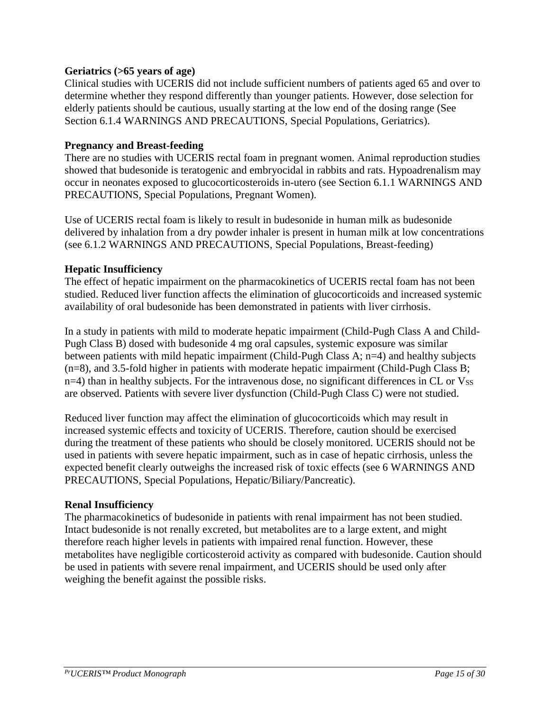#### **Geriatrics (>65 years of age)**

Clinical studies with UCERIS did not include sufficient numbers of patients aged 65 and over to determine whether they respond differently than younger patients. However, dose selection for elderly patients should be cautious, usually starting at the low end of the dosing range (See Section 6.1.4 WARNINGS AND PRECAUTIONS, Special Populations, Geriatrics).

#### **Pregnancy and Breast-feeding**

There are no studies with UCERIS rectal foam in pregnant women. Animal reproduction studies showed that budesonide is teratogenic and embryocidal in rabbits and rats. Hypoadrenalism may occur in neonates exposed to glucocorticosteroids in-utero (see Section 6.1.1 WARNINGS AND PRECAUTIONS, Special Populations, Pregnant Women).

Use of UCERIS rectal foam is likely to result in budesonide in human milk as budesonide delivered by inhalation from a dry powder inhaler is present in human milk at low concentrations (see 6.1.2 WARNINGS AND PRECAUTIONS, Special Populations, Breast-feeding)

## **Hepatic Insufficiency**

The effect of hepatic impairment on the pharmacokinetics of UCERIS rectal foam has not been studied. Reduced liver function affects the elimination of glucocorticoids and increased systemic availability of oral budesonide has been demonstrated in patients with liver cirrhosis.

In a study in patients with mild to moderate hepatic impairment (Child-Pugh Class A and Child-Pugh Class B) dosed with budesonide 4 mg oral capsules, systemic exposure was similar between patients with mild hepatic impairment (Child-Pugh Class A; n=4) and healthy subjects (n=8), and 3.5-fold higher in patients with moderate hepatic impairment (Child-Pugh Class B;  $n=4$ ) than in healthy subjects. For the intravenous dose, no significant differences in CL or  $V_{SS}$ are observed. Patients with severe liver dysfunction (Child-Pugh Class C) were not studied.

Reduced liver function may affect the elimination of glucocorticoids which may result in increased systemic effects and toxicity of UCERIS. Therefore, caution should be exercised during the treatment of these patients who should be closely monitored. UCERIS should not be used in patients with severe hepatic impairment, such as in case of hepatic cirrhosis, unless the expected benefit clearly outweighs the increased risk of toxic effects (see 6 WARNINGS AND PRECAUTIONS, Special Populations, Hepatic/Biliary/Pancreatic).

#### **Renal Insufficiency**

The pharmacokinetics of budesonide in patients with renal impairment has not been studied. Intact budesonide is not renally excreted, but metabolites are to a large extent, and might therefore reach higher levels in patients with impaired renal function. However, these metabolites have negligible corticosteroid activity as compared with budesonide. Caution should be used in patients with severe renal impairment, and UCERIS should be used only after weighing the benefit against the possible risks.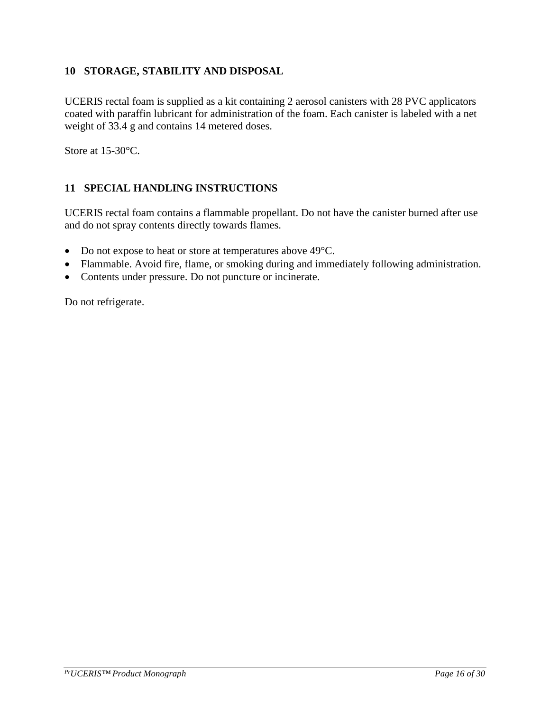## <span id="page-15-0"></span>**10 STORAGE, STABILITY AND DISPOSAL**

UCERIS rectal foam is supplied as a kit containing 2 aerosol canisters with 28 PVC applicators coated with paraffin lubricant for administration of the foam. Each canister is labeled with a net weight of 33.4 g and contains 14 metered doses.

Store at 15-30 °C.

## <span id="page-15-1"></span>**11 SPECIAL HANDLING INSTRUCTIONS**

UCERIS rectal foam contains a flammable propellant. Do not have the canister burned after use and do not spray contents directly towards flames.

- Do not expose to heat or store at temperatures above 49°C.
- Flammable. Avoid fire, flame, or smoking during and immediately following administration.
- Contents under pressure. Do not puncture or incinerate.

Do not refrigerate.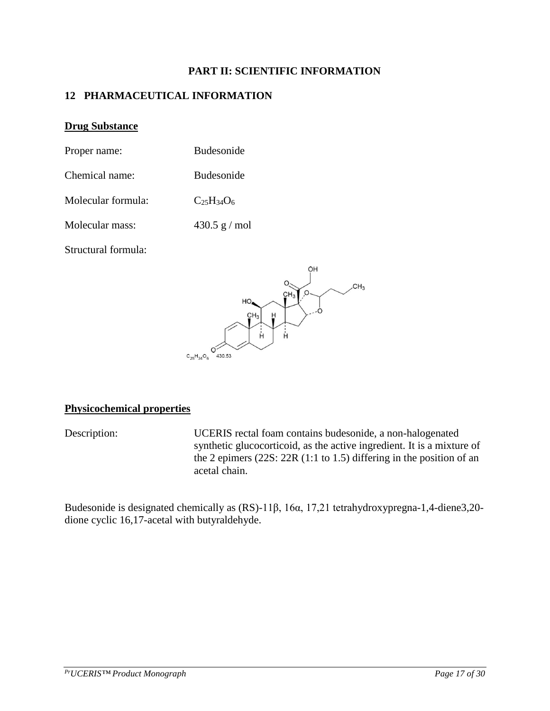#### **PART II: SCIENTIFIC INFORMATION**

## <span id="page-16-1"></span><span id="page-16-0"></span>**12 PHARMACEUTICAL INFORMATION**

#### **Drug Substance**

| Proper name:       | <b>Budesonide</b> |
|--------------------|-------------------|
| Chemical name:     | <b>Budesonide</b> |
| Molecular formula: | $C_{25}H_{34}O_6$ |

Molecular mass: 430.5 g / mol

Structural formula:



#### **Physicochemical properties**

Description: UCERIS rectal foam contains budesonide, a non-halogenated synthetic glucocorticoid, as the active ingredient. It is a mixture of the 2 epimers (22S: 22R (1:1 to 1.5) differing in the position of an acetal chain.

Budesonide is designated chemically as (RS)-11β, 16α, 17,21 tetrahydroxypregna-1,4-diene3,20 dione cyclic 16,17-acetal with butyraldehyde.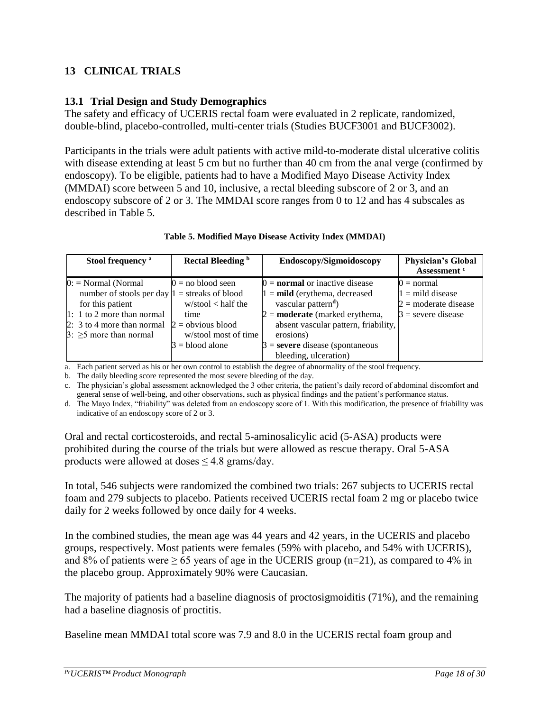## <span id="page-17-0"></span>**13 CLINICAL TRIALS**

## <span id="page-17-1"></span>**13.1 Trial Design and Study Demographics**

The safety and efficacy of UCERIS rectal foam were evaluated in 2 replicate, randomized, double-blind, placebo-controlled, multi-center trials (Studies BUCF3001 and BUCF3002).

Participants in the trials were adult patients with active mild-to-moderate distal ulcerative colitis with disease extending at least 5 cm but no further than 40 cm from the anal verge (confirmed by endoscopy). To be eligible, patients had to have a Modified Mayo Disease Activity Index (MMDAI) score between 5 and 10, inclusive, a rectal bleeding subscore of 2 or 3, and an endoscopy subscore of 2 or 3. The MMDAI score ranges from 0 to 12 and has 4 subscales as described in Table 5.

| Stool frequency <sup>a</sup>                                                                                                                                                                 | Rectal Bleeding <sup>b</sup>                                                                                             | Endoscopy/Sigmoidoscopy                                                                                                                                                                                                                                                            | <b>Physician's Global</b><br>Assessment <sup>c</sup>                                 |
|----------------------------------------------------------------------------------------------------------------------------------------------------------------------------------------------|--------------------------------------------------------------------------------------------------------------------------|------------------------------------------------------------------------------------------------------------------------------------------------------------------------------------------------------------------------------------------------------------------------------------|--------------------------------------------------------------------------------------|
| $0:$ = Normal (Normal<br>number of stools per day $1 =$ streaks of blood<br>for this patient<br>$1: 1$ to 2 more than normal<br>$2: 3$ to 4 more than normal<br>$3: \geq 5$ more than normal | $0 =$ no blood seen<br>$w/$ stool < half the<br>time<br>$2 =$ obvious blood<br>w/stool most of time<br>$3 =$ blood alone | $0 =$ <b>normal</b> or inactive disease<br>$1 = \text{mild}$ (erythema, decreased<br>vascular pattern <sup>d</sup> )<br>$2 =$ <b>moderate</b> (marked erythema,<br>absent vascular pattern, friability,<br>erosions)<br>$3$ = severe disease (spontaneous<br>bleeding, ulceration) | $0 = normal$<br>$1 =$ mild disease<br>$2 =$ moderate disease<br>$3$ = severe disease |

#### **Table 5. Modified Mayo Disease Activity Index (MMDAI)**

a. Each patient served as his or her own control to establish the degree of abnormality of the stool frequency.

b. The daily bleeding score represented the most severe bleeding of the day.

c. The physician's global assessment acknowledged the 3 other criteria, the patient's daily record of abdominal discomfort and general sense of well-being, and other observations, such as physical findings and the patient's performance status.

d. The Mayo Index, "friability" was deleted from an endoscopy score of 1. With this modification, the presence of friability was indicative of an endoscopy score of 2 or 3.

Oral and rectal corticosteroids, and rectal 5-aminosalicylic acid (5-ASA) products were prohibited during the course of the trials but were allowed as rescue therapy. Oral 5-ASA products were allowed at doses  $\leq 4.8$  grams/day.

In total, 546 subjects were randomized the combined two trials: 267 subjects to UCERIS rectal foam and 279 subjects to placebo. Patients received UCERIS rectal foam 2 mg or placebo twice daily for 2 weeks followed by once daily for 4 weeks.

In the combined studies, the mean age was 44 years and 42 years, in the UCERIS and placebo groups, respectively. Most patients were females (59% with placebo, and 54% with UCERIS), and 8% of patients were  $\geq 65$  years of age in the UCERIS group (n=21), as compared to 4% in the placebo group. Approximately 90% were Caucasian.

The majority of patients had a baseline diagnosis of proctosigmoiditis (71%), and the remaining had a baseline diagnosis of proctitis.

Baseline mean MMDAI total score was 7.9 and 8.0 in the UCERIS rectal foam group and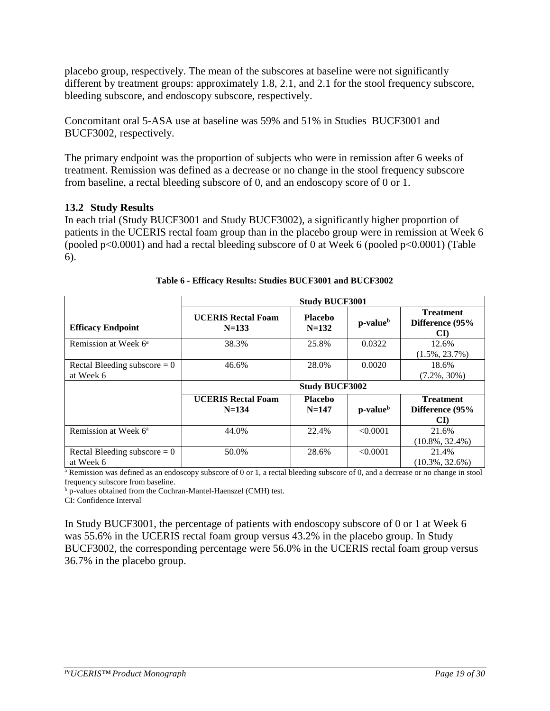placebo group, respectively. The mean of the subscores at baseline were not significantly different by treatment groups: approximately 1.8, 2.1, and 2.1 for the stool frequency subscore, bleeding subscore, and endoscopy subscore, respectively.

Concomitant oral 5-ASA use at baseline was 59% and 51% in Studies BUCF3001 and BUCF3002, respectively.

The primary endpoint was the proportion of subjects who were in remission after 6 weeks of treatment. Remission was defined as a decrease or no change in the stool frequency subscore from baseline, a rectal bleeding subscore of 0, and an endoscopy score of 0 or 1.

#### <span id="page-18-0"></span>**13.2 Study Results**

In each trial (Study BUCF3001 and Study BUCF3002), a significantly higher proportion of patients in the UCERIS rectal foam group than in the placebo group were in remission at Week 6 (pooled p<0.0001) and had a rectal bleeding subscore of 0 at Week 6 (pooled p<0.0001) (Table 6).

|                                             | <b>Study BUCF3001</b>                  |                             |                      |                                           |  |
|---------------------------------------------|----------------------------------------|-----------------------------|----------------------|-------------------------------------------|--|
| <b>Efficacy Endpoint</b>                    | <b>UCERIS Rectal Foam</b><br>$N=133$   | Placebo<br>$N = 132$        | p-value <sup>b</sup> | <b>Treatment</b><br>Difference (95%<br>CD |  |
| Remission at Week 6 <sup>a</sup>            | 38.3%                                  | 25.8%                       | 0.0322               | 12.6%<br>$(1.5\%, 23.7\%)$                |  |
| Rectal Bleeding subscore $= 0$<br>at Week 6 | 46.6%                                  | 28.0%                       | 0.0020               | 18.6%<br>$(7.2\%, 30\%)$                  |  |
|                                             | <b>Study BUCF3002</b>                  |                             |                      |                                           |  |
|                                             | <b>UCERIS Rectal Foam</b><br>$N = 134$ | <b>Placebo</b><br>$N = 147$ | p-value <sup>b</sup> | <b>Treatment</b><br>Difference (95%<br>CD |  |
| Remission at Week 6 <sup>a</sup>            | 44.0%                                  | 22.4%                       | < 0.0001             | 21.6%<br>$(10.8\%, 32.4\%)$               |  |
| Rectal Bleeding subscore $= 0$<br>at Week 6 | 50.0%                                  | 28.6%                       | < 0.0001             | 21.4%<br>$(10.3\%, 32.6\%)$               |  |

|  |  | Table 6 - Efficacy Results: Studies BUCF3001 and BUCF3002 |
|--|--|-----------------------------------------------------------|
|  |  |                                                           |

<sup>a</sup> Remission was defined as an endoscopy subscore of 0 or 1, a rectal bleeding subscore of 0, and a decrease or no change in stool frequency subscore from baseline.

b p-values obtained from the Cochran-Mantel-Haenszel (CMH) test.

CI: Confidence Interval

<span id="page-18-1"></span>In Study BUCF3001, the percentage of patients with endoscopy subscore of 0 or 1 at Week 6 was 55.6% in the UCERIS rectal foam group versus 43.2% in the placebo group. In Study BUCF3002, the corresponding percentage were 56.0% in the UCERIS rectal foam group versus 36.7% in the placebo group.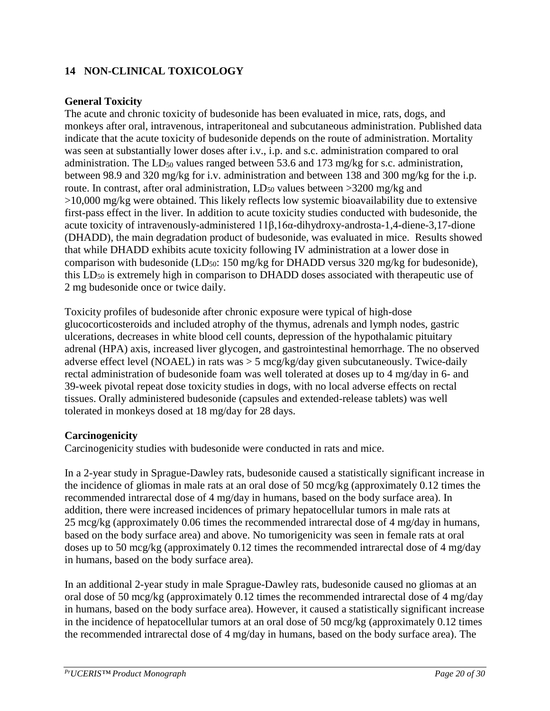## **14 NON-CLINICAL TOXICOLOGY**

## **General Toxicity**

The acute and chronic toxicity of budesonide has been evaluated in mice, rats, dogs, and monkeys after oral, intravenous, intraperitoneal and subcutaneous administration. Published data indicate that the acute toxicity of budesonide depends on the route of administration. Mortality was seen at substantially lower doses after i.v., i.p. and s.c. administration compared to oral administration. The  $LD_{50}$  values ranged between 53.6 and 173 mg/kg for s.c. administration, between 98.9 and 320 mg/kg for i.v. administration and between 138 and 300 mg/kg for the i.p. route. In contrast, after oral administration,  $LD_{50}$  values between  $>3200$  mg/kg and >10,000 mg/kg were obtained. This likely reflects low systemic bioavailability due to extensive first-pass effect in the liver. In addition to acute toxicity studies conducted with budesonide, the acute toxicity of intravenously-administered 11β,16α-dihydroxy-androsta-1,4-diene-3,17-dione (DHADD), the main degradation product of budesonide, was evaluated in mice. Results showed that while DHADD exhibits acute toxicity following IV administration at a lower dose in comparison with budesonide (LD<sub>50</sub>: 150 mg/kg for DHADD versus 320 mg/kg for budesonide), this LD<sub>50</sub> is extremely high in comparison to DHADD doses associated with therapeutic use of 2 mg budesonide once or twice daily.

Toxicity profiles of budesonide after chronic exposure were typical of high-dose glucocorticosteroids and included atrophy of the thymus, adrenals and lymph nodes, gastric ulcerations, decreases in white blood cell counts, depression of the hypothalamic pituitary adrenal (HPA) axis, increased liver glycogen, and gastrointestinal hemorrhage. The no observed adverse effect level (NOAEL) in rats was > 5 mcg/kg/day given subcutaneously. Twice-daily rectal administration of budesonide foam was well tolerated at doses up to 4 mg/day in 6- and 39-week pivotal repeat dose toxicity studies in dogs, with no local adverse effects on rectal tissues. Orally administered budesonide (capsules and extended-release tablets) was well tolerated in monkeys dosed at 18 mg/day for 28 days.

#### **Carcinogenicity**

Carcinogenicity studies with budesonide were conducted in rats and mice.

In a 2-year study in Sprague-Dawley rats, budesonide caused a statistically significant increase in the incidence of gliomas in male rats at an oral dose of 50 mcg/kg (approximately 0.12 times the recommended intrarectal dose of 4 mg/day in humans, based on the body surface area). In addition, there were increased incidences of primary hepatocellular tumors in male rats at 25 mcg/kg (approximately 0.06 times the recommended intrarectal dose of 4 mg/day in humans, based on the body surface area) and above. No tumorigenicity was seen in female rats at oral doses up to 50 mcg/kg (approximately 0.12 times the recommended intrarectal dose of 4 mg/day in humans, based on the body surface area).

In an additional 2-year study in male Sprague-Dawley rats, budesonide caused no gliomas at an oral dose of 50 mcg/kg (approximately 0.12 times the recommended intrarectal dose of 4 mg/day in humans, based on the body surface area). However, it caused a statistically significant increase in the incidence of hepatocellular tumors at an oral dose of 50 mcg/kg (approximately 0.12 times the recommended intrarectal dose of 4 mg/day in humans, based on the body surface area). The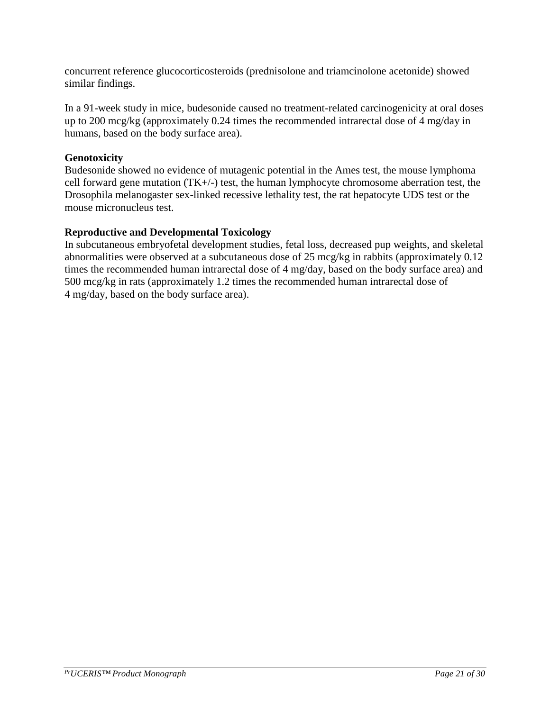concurrent reference glucocorticosteroids (prednisolone and triamcinolone acetonide) showed similar findings.

In a 91-week study in mice, budesonide caused no treatment-related carcinogenicity at oral doses up to 200 mcg/kg (approximately 0.24 times the recommended intrarectal dose of 4 mg/day in humans, based on the body surface area).

## **Genotoxicity**

Budesonide showed no evidence of mutagenic potential in the Ames test, the mouse lymphoma cell forward gene mutation (TK+/-) test, the human lymphocyte chromosome aberration test, the Drosophila melanogaster sex-linked recessive lethality test, the rat hepatocyte UDS test or the mouse micronucleus test.

## **Reproductive and Developmental Toxicology**

In subcutaneous embryofetal development studies, fetal loss, decreased pup weights, and skeletal abnormalities were observed at a subcutaneous dose of 25 mcg/kg in rabbits (approximately 0.12 times the recommended human intrarectal dose of 4 mg/day, based on the body surface area) and 500 mcg/kg in rats (approximately 1.2 times the recommended human intrarectal dose of 4 mg/day, based on the body surface area).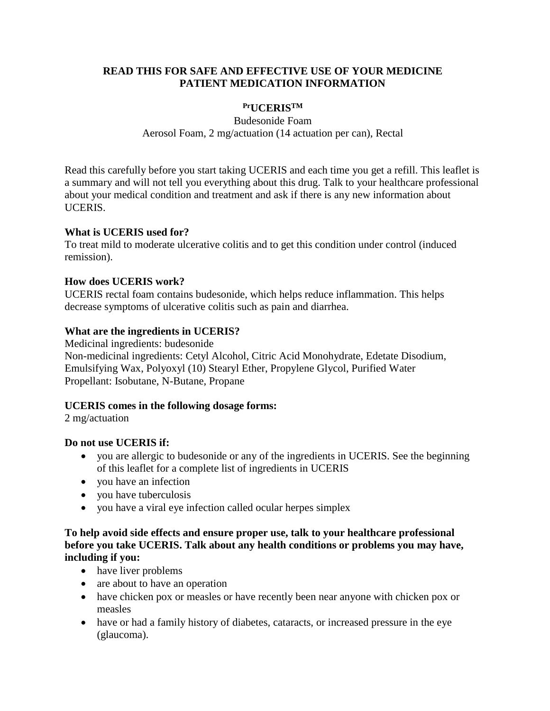#### <span id="page-21-0"></span>**READ THIS FOR SAFE AND EFFECTIVE USE OF YOUR MEDICINE PATIENT MEDICATION INFORMATION**

## **PrUCERISTM**

Budesonide Foam Aerosol Foam, 2 mg/actuation (14 actuation per can), Rectal

Read this carefully before you start taking UCERIS and each time you get a refill. This leaflet is a summary and will not tell you everything about this drug. Talk to your healthcare professional about your medical condition and treatment and ask if there is any new information about UCERIS.

#### **What is UCERIS used for?**

To treat mild to moderate ulcerative colitis and to get this condition under control (induced remission).

## **How does UCERIS work?**

UCERIS rectal foam contains budesonide, which helps reduce inflammation. This helps decrease symptoms of ulcerative colitis such as pain and diarrhea.

## **What are the ingredients in UCERIS?**

Medicinal ingredients: budesonide Non-medicinal ingredients: Cetyl Alcohol, Citric Acid Monohydrate, Edetate Disodium, Emulsifying Wax, Polyoxyl (10) Stearyl Ether, Propylene Glycol, Purified Water Propellant: Isobutane, N-Butane, Propane

## **UCERIS comes in the following dosage forms:**

2 mg/actuation

#### **Do not use UCERIS if:**

- you are allergic to budesonide or any of the ingredients in UCERIS. See the beginning of this leaflet for a complete list of ingredients in UCERIS
- vou have an infection
- vou have tuberculosis
- you have a viral eye infection called ocular herpes simplex

## **To help avoid side effects and ensure proper use, talk to your healthcare professional before you take UCERIS. Talk about any health conditions or problems you may have, including if you:**

- have liver problems
- are about to have an operation
- have chicken pox or measles or have recently been near anyone with chicken pox or measles
- have or had a family history of diabetes, cataracts, or increased pressure in the eye (glaucoma).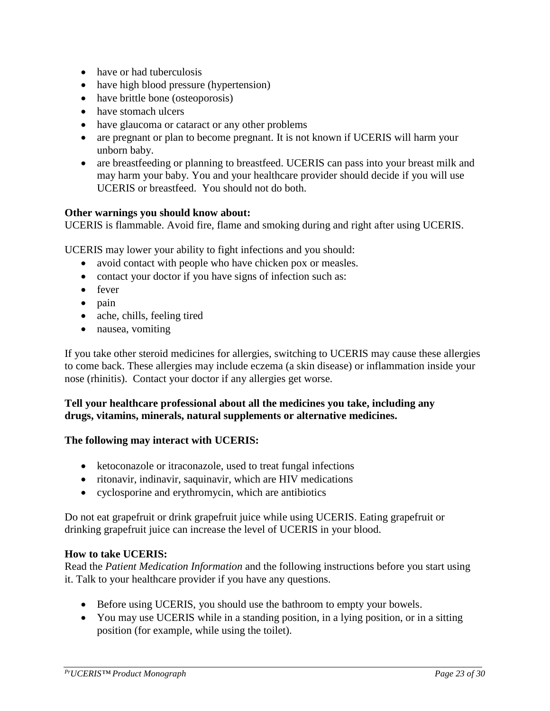- have or had tuberculosis
- have high blood pressure (hypertension)
- have brittle bone (osteoporosis)
- have stomach ulcers
- have glaucoma or cataract or any other problems
- are pregnant or plan to become pregnant. It is not known if UCERIS will harm your unborn baby.
- are breastfeeding or planning to breastfeed. UCERIS can pass into your breast milk and may harm your baby. You and your healthcare provider should decide if you will use UCERIS or breastfeed. You should not do both.

#### **Other warnings you should know about:**

UCERIS is flammable. Avoid fire, flame and smoking during and right after using UCERIS.

UCERIS may lower your ability to fight infections and you should:

- avoid contact with people who have chicken pox or measles.
- contact your doctor if you have signs of infection such as:
- fever
- pain
- ache, chills, feeling tired
- nausea, vomiting

If you take other steroid medicines for allergies, switching to UCERIS may cause these allergies to come back. These allergies may include eczema (a skin disease) or inflammation inside your nose (rhinitis). Contact your doctor if any allergies get worse.

#### **Tell your healthcare professional about all the medicines you take, including any drugs, vitamins, minerals, natural supplements or alternative medicines.**

#### **The following may interact with UCERIS:**

- ketoconazole or itraconazole, used to treat fungal infections
- ritonavir, indinavir, saquinavir, which are HIV medications
- cyclosporine and erythromycin, which are antibiotics

Do not eat grapefruit or drink grapefruit juice while using UCERIS. Eating grapefruit or drinking grapefruit juice can increase the level of UCERIS in your blood.

#### **How to take UCERIS:**

Read the *Patient Medication Information* and the following instructions before you start using it. Talk to your healthcare provider if you have any questions.

- Before using UCERIS, you should use the bathroom to empty your bowels.
- You may use UCERIS while in a standing position, in a lying position, or in a sitting position (for example, while using the toilet).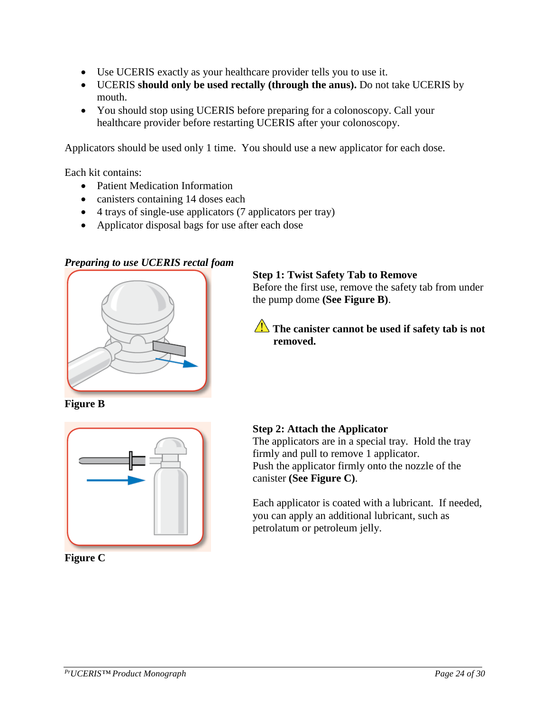- Use UCERIS exactly as your healthcare provider tells you to use it.
- UCERIS **should only be used rectally (through the anus).** Do not take UCERIS by mouth.
- You should stop using UCERIS before preparing for a colonoscopy. Call your healthcare provider before restarting UCERIS after your colonoscopy.

Applicators should be used only 1 time. You should use a new applicator for each dose.

Each kit contains:

- Patient Medication Information
- canisters containing 14 doses each
- 4 trays of single-use applicators (7 applicators per tray)
- Applicator disposal bags for use after each dose

## *Preparing to use UCERIS rectal foam*



**Figure B**



**Figure C**

#### **Step 1: Twist Safety Tab to Remove**

Before the first use, remove the safety tab from under the pump dome **(See Figure B)**.

**The canister cannot be used if safety tab is not removed.**

#### **Step 2: Attach the Applicator**

The applicators are in a special tray. Hold the tray firmly and pull to remove 1 applicator. Push the applicator firmly onto the nozzle of the canister **(See Figure C)**.

Each applicator is coated with a lubricant. If needed, you can apply an additional lubricant, such as petrolatum or petroleum jelly.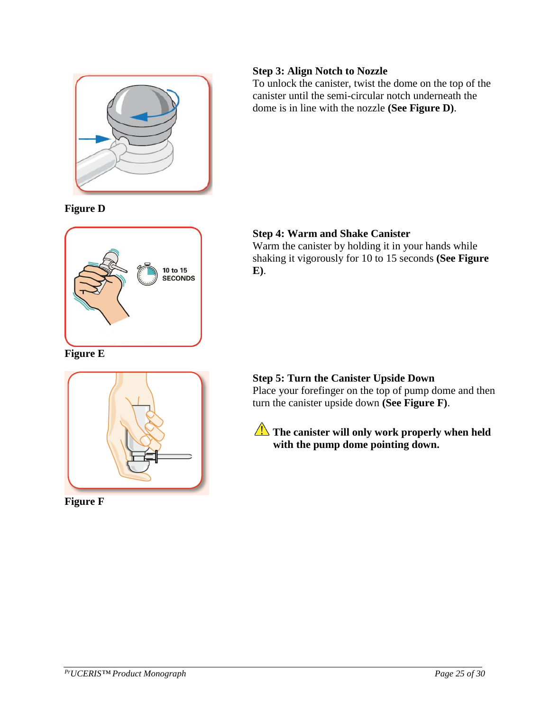

# **Figure D**



**Figure E**



**Figure F**

# **Step 3: Align Notch to Nozzle**

To unlock the canister, twist the dome on the top of the canister until the semi-circular notch underneath the dome is in line with the nozzle **(See Figure D)**.

# **Step 4: Warm and Shake Canister**

Warm the canister by holding it in your hands while shaking it vigorously for 10 to 15 seconds **(See Figure E)**.

# **Step 5: Turn the Canister Upside Down**

Place your forefinger on the top of pump dome and then turn the canister upside down **(See Figure F)**.

The canister will only work properly when held **with the pump dome pointing down.**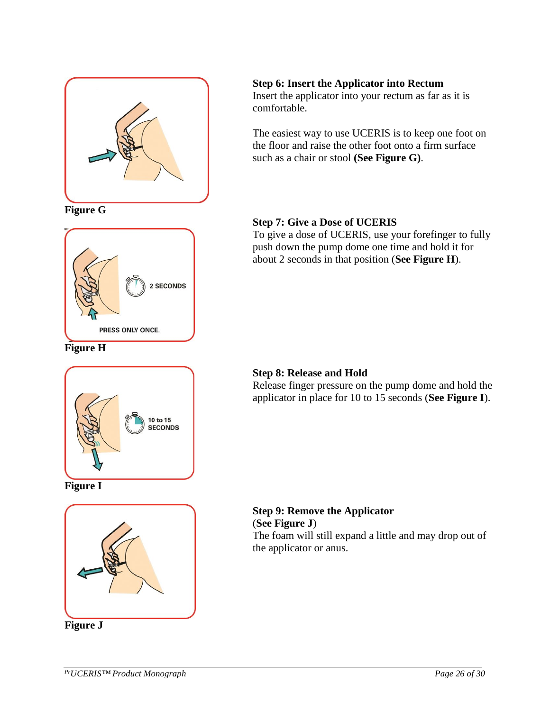

**Figure G**



**Figure H**



**Figure I**



**Figure J**

## **Step 6: Insert the Applicator into Rectum**

Insert the applicator into your rectum as far as it is comfortable.

The easiest way to use UCERIS is to keep one foot on the floor and raise the other foot onto a firm surface such as a chair or stool **(See Figure G)**.

## **Step 7: Give a Dose of UCERIS**

To give a dose of UCERIS, use your forefinger to fully push down the pump dome one time and hold it for about 2 seconds in that position (**See Figure H**).

# **Step 8: Release and Hold**

Release finger pressure on the pump dome and hold the applicator in place for 10 to 15 seconds (**See Figure I**).

#### **Step 9: Remove the Applicator**  (**See Figure J**) The foam will still expand a little and may drop out of the applicator or anus.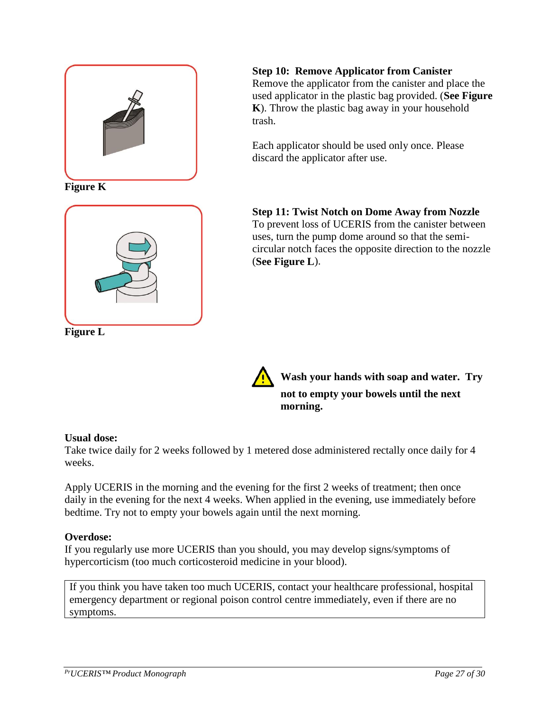

**Figure K**



**Figure L**

**Step 10: Remove Applicator from Canister**

Remove the applicator from the canister and place the used applicator in the plastic bag provided. (**See Figure K**). Throw the plastic bag away in your household trash.

Each applicator should be used only once. Please discard the applicator after use.

**Step 11: Twist Notch on Dome Away from Nozzle** To prevent loss of UCERIS from the canister between uses, turn the pump dome around so that the semicircular notch faces the opposite direction to the nozzle (**See Figure L**).



**Wash your hands with soap and water. Try not to empty your bowels until the next morning.**

# **Usual dose:**

Take twice daily for 2 weeks followed by 1 metered dose administered rectally once daily for 4 weeks.

Apply UCERIS in the morning and the evening for the first 2 weeks of treatment; then once daily in the evening for the next 4 weeks. When applied in the evening, use immediately before bedtime. Try not to empty your bowels again until the next morning.

## **Overdose:**

If you regularly use more UCERIS than you should, you may develop signs/symptoms of hypercorticism (too much corticosteroid medicine in your blood).

If you think you have taken too much UCERIS, contact your healthcare professional, hospital emergency department or regional poison control centre immediately, even if there are no symptoms.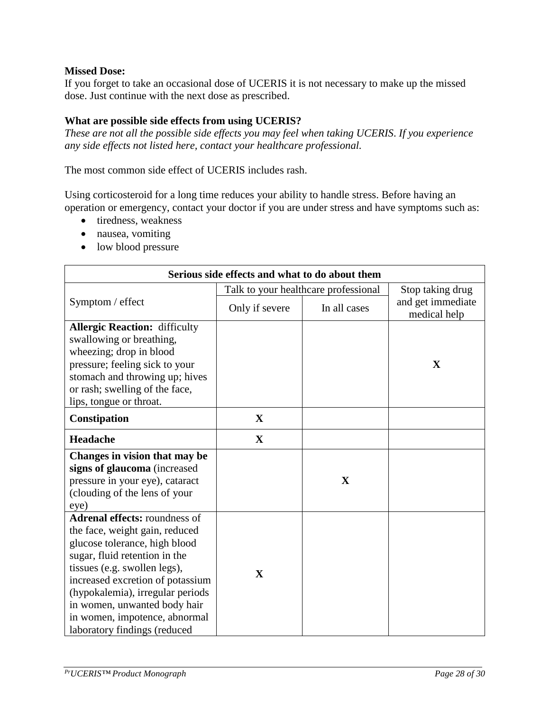#### **Missed Dose:**

If you forget to take an occasional dose of UCERIS it is not necessary to make up the missed dose. Just continue with the next dose as prescribed.

#### **What are possible side effects from using UCERIS?**

*These are not all the possible side effects you may feel when taking UCERIS*. *If you experience any side effects not listed here, contact your healthcare professional.*

The most common side effect of UCERIS includes rash.

Using corticosteroid for a long time reduces your ability to handle stress. Before having an operation or emergency, contact your doctor if you are under stress and have symptoms such as:

- tiredness, weakness
- nausea, vomiting
- low blood pressure

| Serious side effects and what to do about them                                                                                                                                                                                                                                                                                                    |                                      |                  |                                   |  |  |
|---------------------------------------------------------------------------------------------------------------------------------------------------------------------------------------------------------------------------------------------------------------------------------------------------------------------------------------------------|--------------------------------------|------------------|-----------------------------------|--|--|
|                                                                                                                                                                                                                                                                                                                                                   | Talk to your healthcare professional | Stop taking drug |                                   |  |  |
| Symptom / effect                                                                                                                                                                                                                                                                                                                                  | Only if severe                       | In all cases     | and get immediate<br>medical help |  |  |
| <b>Allergic Reaction: difficulty</b><br>swallowing or breathing,<br>wheezing; drop in blood<br>pressure; feeling sick to your<br>stomach and throwing up; hives<br>or rash; swelling of the face,<br>lips, tongue or throat.                                                                                                                      |                                      |                  | X                                 |  |  |
| Constipation                                                                                                                                                                                                                                                                                                                                      | $\mathbf X$                          |                  |                                   |  |  |
| Headache                                                                                                                                                                                                                                                                                                                                          | $\mathbf X$                          |                  |                                   |  |  |
| Changes in vision that may be<br>signs of glaucoma (increased<br>pressure in your eye), cataract<br>(clouding of the lens of your<br>eye)                                                                                                                                                                                                         |                                      | $\mathbf X$      |                                   |  |  |
| <b>Adrenal effects: roundness of</b><br>the face, weight gain, reduced<br>glucose tolerance, high blood<br>sugar, fluid retention in the<br>tissues (e.g. swollen legs),<br>increased excretion of potassium<br>(hypokalemia), irregular periods<br>in women, unwanted body hair<br>in women, impotence, abnormal<br>laboratory findings (reduced | $\mathbf{X}$                         |                  |                                   |  |  |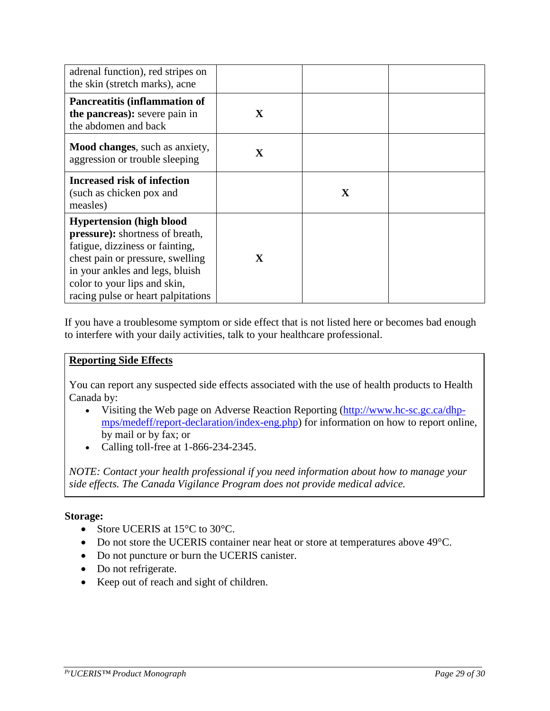| adrenal function), red stripes on<br>the skin (stretch marks), acne                                                                                                                                                                                |             |              |  |
|----------------------------------------------------------------------------------------------------------------------------------------------------------------------------------------------------------------------------------------------------|-------------|--------------|--|
| <b>Pancreatitis (inflammation of</b><br>the pancreas): severe pain in<br>the abdomen and back                                                                                                                                                      | X           |              |  |
| <b>Mood changes</b> , such as anxiety,<br>aggression or trouble sleeping                                                                                                                                                                           | X           |              |  |
| <b>Increased risk of infection</b><br>(such as chicken pox and<br>measles)                                                                                                                                                                         |             | $\mathbf{X}$ |  |
| <b>Hypertension</b> (high blood<br>pressure): shortness of breath,<br>fatigue, dizziness or fainting,<br>chest pain or pressure, swelling<br>in your ankles and legs, bluish<br>color to your lips and skin,<br>racing pulse or heart palpitations | $\mathbf X$ |              |  |

If you have a troublesome symptom or side effect that is not listed here or becomes bad enough to interfere with your daily activities, talk to your healthcare professional.

#### **Reporting Side Effects**

You can report any suspected side effects associated with the use of health products to Health Canada by:

- Visiting the Web page on Adverse Reaction Reporting [\(http://www.hc-sc.gc.ca/dhp](http://www.hc-sc.gc.ca/dhp-mps/medeff/report-declaration/index-eng.php)[mps/medeff/report-declaration/index-eng.php\)](http://www.hc-sc.gc.ca/dhp-mps/medeff/report-declaration/index-eng.php) for information on how to report online, by mail or by fax; or
- Calling toll-free at 1-866-234-2345.

*NOTE: Contact your health professional if you need information about how to manage your side effects. The Canada Vigilance Program does not provide medical advice.*

#### **Storage:**

- Store UCERIS at 15<sup>o</sup>C to 30<sup>o</sup>C.
- Do not store the UCERIS container near heat or store at temperatures above 49°C.
- Do not puncture or burn the UCERIS canister.
- Do not refrigerate.
- Keep out of reach and sight of children.